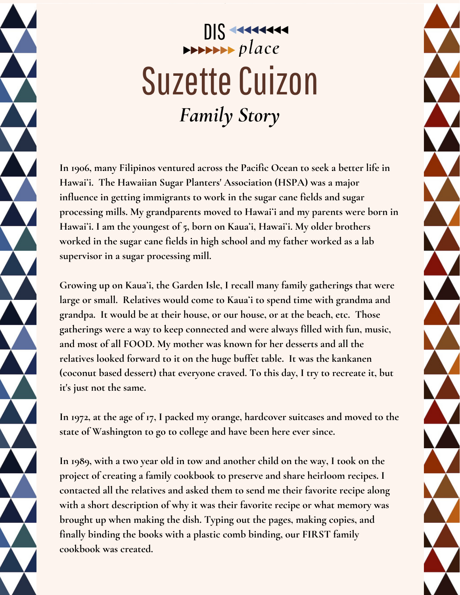## DIS 11111111 **Suzette Cuizon** *Family Story*

**In 1906, many Filipinos ventured across the Pacific Ocean to seek a better life in Hawaiʻi. The Hawaiian Sugar Planters' Association (HSPA) was a major influence in getting immigrants to work in the sugar cane fields and sugar processing mills. My grandparents moved to Hawaiʻi and my parents were born in Hawaiʻi. I am the youngest of 5, born on Kauaʻi, Hawaiʻi. My older brothers worked in the sugar cane fields in high school and my father worked as a lab supervisor in a sugar processing mill.**

**Growing up on Kauaʻi, the Garden Isle, I recall many family gatherings that were large or small. Relatives would come to Kauaʻi to spend time with grandma and grandpa. It would be at their house, or our house, or at the beach, etc. Those gatherings were a way to keep connected and were always filled with fun, music, and most of all FOOD. My mother was known for her desserts and all the relatives looked forward to it on the huge buffet table. It was the kankanen (coconut based dessert) that everyone craved. To this day, I try to recreate it, but it's just not the same.**

**In 1972, at the age of 17, I packed my orange, hardcover suitcases and moved to the state of Washington to go to college and have been here ever since.**

**In 1989, with a two year old in tow and another child on the way, I took on the project of creating a family cookbook to preserve and share heirloom recipes. I contacted all the relatives and asked them to send me their favorite recipe along with a short description of why it was their favorite recipe or what memory was brought up when making the dish. Typing out the pages, making copies, and finally binding the books with a plastic comb binding, our FIRST family cookbook was created.**